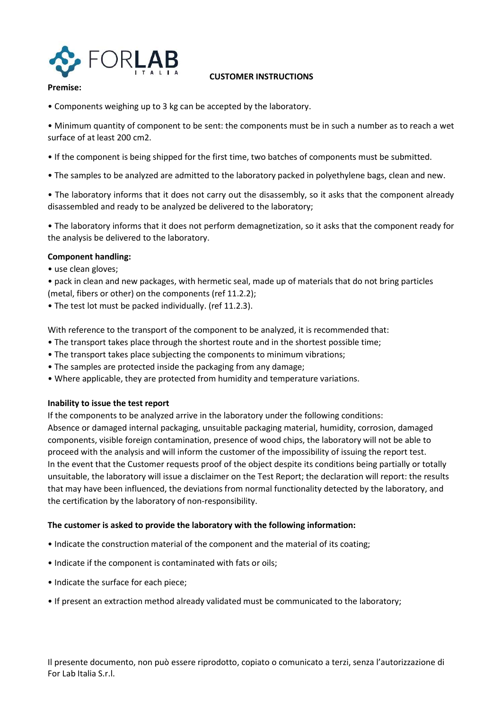

### CUSTOMER INSTRUCTIONS

## Premise:

• Components weighing up to 3 kg can be accepted by the laboratory.

• Minimum quantity of component to be sent: the components must be in such a number as to reach a wet surface of at least 200 cm2.

- If the component is being shipped for the first time, two batches of components must be submitted.
- The samples to be analyzed are admitted to the laboratory packed in polyethylene bags, clean and new.

• The laboratory informs that it does not carry out the disassembly, so it asks that the component already disassembled and ready to be analyzed be delivered to the laboratory;

• The laboratory informs that it does not perform demagnetization, so it asks that the component ready for the analysis be delivered to the laboratory.

# Component handling:

- use clean gloves;
- pack in clean and new packages, with hermetic seal, made up of materials that do not bring particles
- (metal, fibers or other) on the components (ref 11.2.2);
- The test lot must be packed individually. (ref 11.2.3).

With reference to the transport of the component to be analyzed, it is recommended that:

- The transport takes place through the shortest route and in the shortest possible time;
- The transport takes place subjecting the components to minimum vibrations;
- The samples are protected inside the packaging from any damage;
- Where applicable, they are protected from humidity and temperature variations.

### Inability to issue the test report

If the components to be analyzed arrive in the laboratory under the following conditions: Absence or damaged internal packaging, unsuitable packaging material, humidity, corrosion, damaged components, visible foreign contamination, presence of wood chips, the laboratory will not be able to proceed with the analysis and will inform the customer of the impossibility of issuing the report test. In the event that the Customer requests proof of the object despite its conditions being partially or totally unsuitable, the laboratory will issue a disclaimer on the Test Report; the declaration will report: the results that may have been influenced, the deviations from normal functionality detected by the laboratory, and the certification by the laboratory of non-responsibility.

### The customer is asked to provide the laboratory with the following information:

- Indicate the construction material of the component and the material of its coating;
- Indicate if the component is contaminated with fats or oils;
- Indicate the surface for each piece;
- If present an extraction method already validated must be communicated to the laboratory;